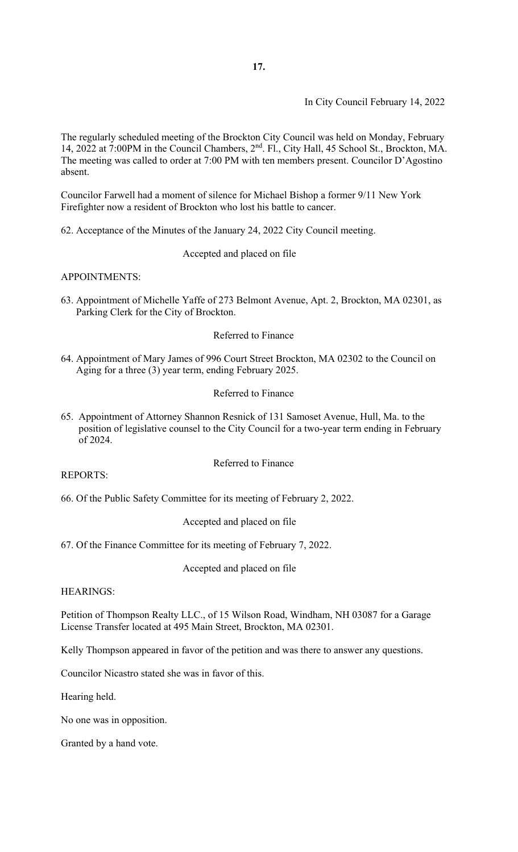In City Council February 14, 2022

The regularly scheduled meeting of the Brockton City Council was held on Monday, February 14, 2022 at 7:00PM in the Council Chambers, 2nd. Fl., City Hall, 45 School St., Brockton, MA. The meeting was called to order at 7:00 PM with ten members present. Councilor D'Agostino absent.

Councilor Farwell had a moment of silence for Michael Bishop a former 9/11 New York Firefighter now a resident of Brockton who lost his battle to cancer.

62. Acceptance of the Minutes of the January 24, 2022 City Council meeting.

Accepted and placed on file

APPOINTMENTS:

63. Appointment of Michelle Yaffe of 273 Belmont Avenue, Apt. 2, Brockton, MA 02301, as Parking Clerk for the City of Brockton.

### Referred to Finance

64. Appointment of Mary James of 996 Court Street Brockton, MA 02302 to the Council on Aging for a three (3) year term, ending February 2025.

### Referred to Finance

65. Appointment of Attorney Shannon Resnick of 131 Samoset Avenue, Hull, Ma. to the position of legislative counsel to the City Council for a two-year term ending in February of 2024.

Referred to Finance

REPORTS:

66. Of the Public Safety Committee for its meeting of February 2, 2022.

Accepted and placed on file

67. Of the Finance Committee for its meeting of February 7, 2022.

Accepted and placed on file

HEARINGS:

Petition of Thompson Realty LLC., of 15 Wilson Road, Windham, NH 03087 for a Garage License Transfer located at 495 Main Street, Brockton, MA 02301.

Kelly Thompson appeared in favor of the petition and was there to answer any questions.

Councilor Nicastro stated she was in favor of this.

Hearing held.

No one was in opposition.

Granted by a hand vote.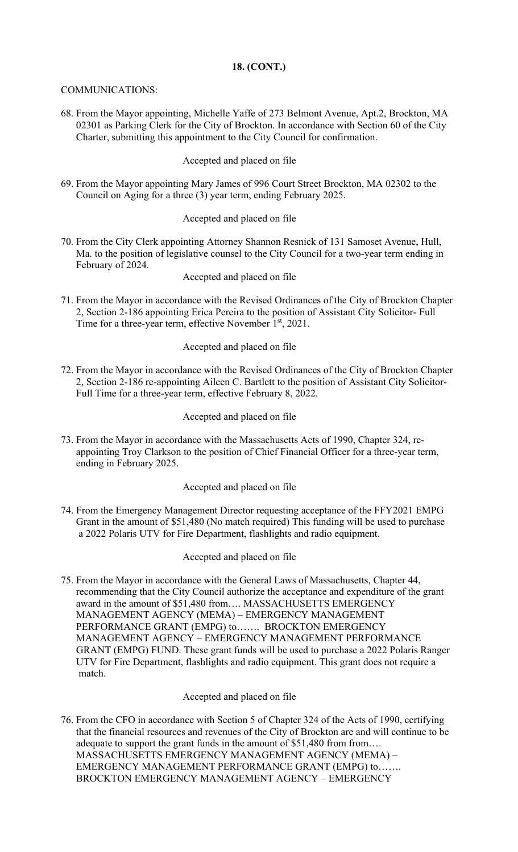# **18. (CONT.)**

## COMMUNICATIONS:

68. From the Mayor appointing, Michelle Yaffe of 273 Belmont Avenue, Apt.2, Brockton, MA 02301 as Parking Clerk for the City of Brockton. In accordance with Section 60 of the City Charter, submitting this appointment to the City Council for confirmation.

# Accepted and placed on file

69. From the Mayor appointing Mary James of 996 Court Street Brockton, MA 02302 to the Council on Aging for a three (3) year term, ending February 2025.

# Accepted and placed on file

70. From the City Clerk appointing Attorney Shannon Resnick of 131 Samoset Avenue, Hull, Ma. to the position of legislative counsel to the City Council for a two-year term ending in February of 2024.

Accepted and placed on file

 2, Section 2-186 appointing Erica Pereira to the position of Assistant City Solicitor- Full 71. From the Mayor in accordance with the Revised Ordinances of the City of Brockton Chapter Time for a three-year term, effective November 1<sup>st</sup>, 2021.

# Accepted and placed on file

72. From the Mayor in accordance with the Revised Ordinances of the City of Brockton Chapter 2, Section 2-186 re-appointing Aileen C. Bartlett to the position of Assistant City Solicitor- Full Time for a three-year term, effective February 8, 2022.

# Accepted and placed on file

 appointing Troy Clarkson to the position of Chief Financial Officer for a three-year term, 73. From the Mayor in accordance with the Massachusetts Acts of 1990, Chapter 324, re ending in February 2025.

## Accepted and placed on file

74. From the Emergency Management Director requesting acceptance of the FFY2021 EMPG Grant in the amount of \$51,480 (No match required) This funding will be used to purchase a 2022 Polaris UTV for Fire Department, flashlights and radio equipment.

## Accepted and placed on file

75. From the Mayor in accordance with the General Laws of Massachusetts, Chapter 44, recommending that the City Council authorize the acceptance and expenditure of the grant award in the amount of \$51,480 from…. MASSACHUSETTS EMERGENCY MANAGEMENT AGENCY (MEMA) – EMERGENCY MANAGEMENT PERFORMANCE GRANT (EMPG) to……. BROCKTON EMERGENCY MANAGEMENT AGENCY – EMERGENCY MANAGEMENT PERFORMANCE GRANT (EMPG) FUND. These grant funds will be used to purchase a 2022 Polaris Ranger UTV for Fire Department, flashlights and radio equipment. This grant does not require a match.

## Accepted and placed on file

76. From the CFO in accordance with Section 5 of Chapter 324 of the Acts of 1990, certifying that the financial resources and revenues of the City of Brockton are and will continue to be adequate to support the grant funds in the amount of \$51,480 from from…. MASSACHUSETTS EMERGENCY MANAGEMENT AGENCY (MEMA) – EMERGENCY MANAGEMENT PERFORMANCE GRANT (EMPG) to……. BROCKTON EMERGENCY MANAGEMENT AGENCY – EMERGENCY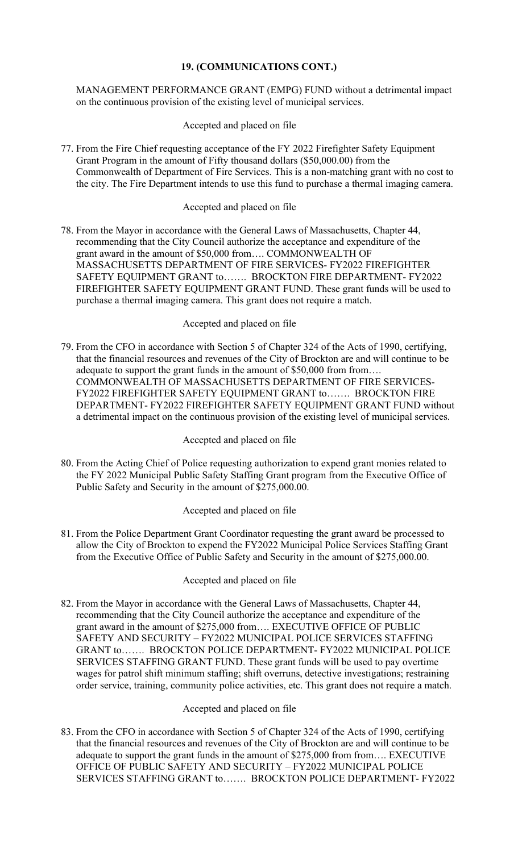# **19. (COMMUNICATIONS CONT.)**

## MANAGEMENT PERFORMANCE GRANT (EMPG) FUND without a detrimental impact on the continuous provision of the existing level of municipal services.

Accepted and placed on file

77. From the Fire Chief requesting acceptance of the FY 2022 Firefighter Safety Equipment Grant Program in the amount of Fifty thousand dollars (\$50,000.00) from the Commonwealth of Department of Fire Services. This is a non-matching grant with no cost to the city. The Fire Department intends to use this fund to purchase a thermal imaging camera.

# Accepted and placed on file

78. From the Mayor in accordance with the General Laws of Massachusetts, Chapter 44, recommending that the City Council authorize the acceptance and expenditure of the grant award in the amount of \$50,000 from…. COMMONWEALTH OF MASSACHUSETTS DEPARTMENT OF FIRE SERVICES- FY2022 FIREFIGHTER SAFETY EQUIPMENT GRANT to……. BROCKTON FIRE DEPARTMENT- FY2022 FIREFIGHTER SAFETY EQUIPMENT GRANT FUND. These grant funds will be used to purchase a thermal imaging camera. This grant does not require a match.

## Accepted and placed on file

 FY2022 FIREFIGHTER SAFETY EQUIPMENT GRANT to……. BROCKTON FIRE 79. From the CFO in accordance with Section 5 of Chapter 324 of the Acts of 1990, certifying, that the financial resources and revenues of the City of Brockton are and will continue to be adequate to support the grant funds in the amount of \$50,000 from from…. COMMONWEALTH OF MASSACHUSETTS DEPARTMENT OF FIRE SERVICES- DEPARTMENT- FY2022 FIREFIGHTER SAFETY EQUIPMENT GRANT FUND without a detrimental impact on the continuous provision of the existing level of municipal services.

#### Accepted and placed on file

80. From the Acting Chief of Police requesting authorization to expend grant monies related to the FY 2022 Municipal Public Safety Staffing Grant program from the Executive Office of Public Safety and Security in the amount of \$275,000.00.

## Accepted and placed on file

81. From the Police Department Grant Coordinator requesting the grant award be processed to allow the City of Brockton to expend the FY2022 Municipal Police Services Staffing Grant from the Executive Office of Public Safety and Security in the amount of \$275,000.00.

## Accepted and placed on file

82. From the Mayor in accordance with the General Laws of Massachusetts, Chapter 44, recommending that the City Council authorize the acceptance and expenditure of the grant award in the amount of \$275,000 from…. EXECUTIVE OFFICE OF PUBLIC SAFETY AND SECURITY – FY2022 MUNICIPAL POLICE SERVICES STAFFING GRANT to……. BROCKTON POLICE DEPARTMENT- FY2022 MUNICIPAL POLICE SERVICES STAFFING GRANT FUND. These grant funds will be used to pay overtime wages for patrol shift minimum staffing; shift overruns, detective investigations; restraining order service, training, community police activities, etc. This grant does not require a match.

## Accepted and placed on file

83. From the CFO in accordance with Section 5 of Chapter 324 of the Acts of 1990, certifying that the financial resources and revenues of the City of Brockton are and will continue to be adequate to support the grant funds in the amount of \$275,000 from from…. EXECUTIVE OFFICE OF PUBLIC SAFETY AND SECURITY – FY2022 MUNICIPAL POLICE SERVICES STAFFING GRANT to……. BROCKTON POLICE DEPARTMENT- FY2022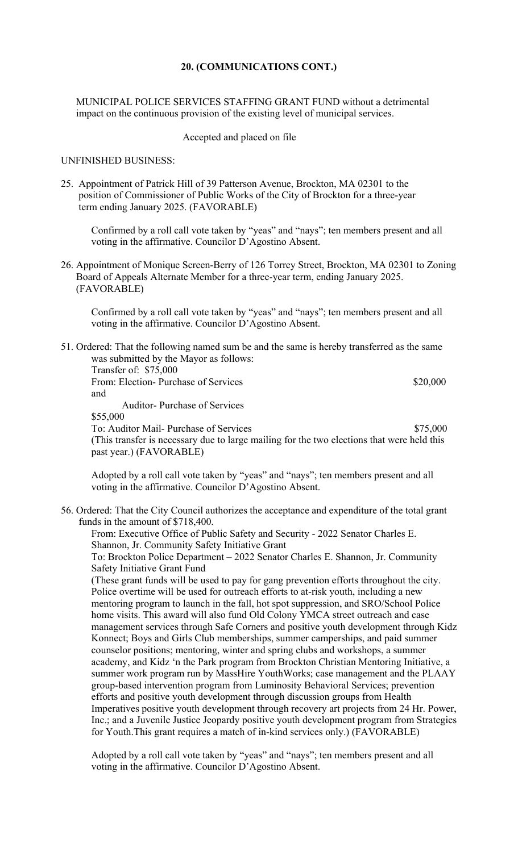### **20. (COMMUNICATIONS CONT.)**

 MUNICIPAL POLICE SERVICES STAFFING GRANT FUND without a detrimental impact on the continuous provision of the existing level of municipal services.

#### Accepted and placed on file

### UNFINISHED BUSINESS:

25. Appointment of Patrick Hill of 39 Patterson Avenue, Brockton, MA 02301 to the position of Commissioner of Public Works of the City of Brockton for a three-year term ending January 2025. (FAVORABLE)

Confirmed by a roll call vote taken by "yeas" and "nays"; ten members present and all voting in the affirmative. Councilor D'Agostino Absent.

26. Appointment of Monique Screen-Berry of 126 Torrey Street, Brockton, MA 02301 to Zoning Board of Appeals Alternate Member for a three-year term, ending January 2025. (FAVORABLE)

Confirmed by a roll call vote taken by "yeas" and "nays"; ten members present and all voting in the affirmative. Councilor D'Agostino Absent.

 51. Ordered: That the following named sum be and the same is hereby transferred as the same was submitted by the Mayor as follows: Transfer of: \$75,000 From: Election- Purchase of Services \$20,000 and Auditor- Purchase of Services \$55,000 To: Auditor Mail- Purchase of Services \$75,000 (This transfer is necessary due to large mailing for the two elections that were held this past year.) (FAVORABLE)

Adopted by a roll call vote taken by "yeas" and "nays"; ten members present and all voting in the affirmative. Councilor D'Agostino Absent.

56. Ordered: That the City Council authorizes the acceptance and expenditure of the total grant funds in the amount of \$718,400.

From: Executive Office of Public Safety and Security - 2022 Senator Charles E. Shannon, Jr. Community Safety Initiative Grant

To: Brockton Police Department – 2022 Senator Charles E. Shannon, Jr. Community Safety Initiative Grant Fund

(These grant funds will be used to pay for gang prevention efforts throughout the city. Police overtime will be used for outreach efforts to at-risk youth, including a new mentoring program to launch in the fall, hot spot suppression, and SRO/School Police home visits. This award will also fund Old Colony YMCA street outreach and case management services through Safe Corners and positive youth development through Kidz Konnect; Boys and Girls Club memberships, summer camperships, and paid summer counselor positions; mentoring, winter and spring clubs and workshops, a summer academy, and Kidz 'n the Park program from Brockton Christian Mentoring Initiative, a summer work program run by MassHire YouthWorks; case management and the PLAAY group-based intervention program from Luminosity Behavioral Services; prevention efforts and positive youth development through discussion groups from Health Imperatives positive youth development through recovery art projects from 24 Hr. Power, Inc.; and a Juvenile Justice Jeopardy positive youth development program from Strategies for Youth.This grant requires a match of in-kind services only.) (FAVORABLE)

Adopted by a roll call vote taken by "yeas" and "nays"; ten members present and all voting in the affirmative. Councilor D'Agostino Absent.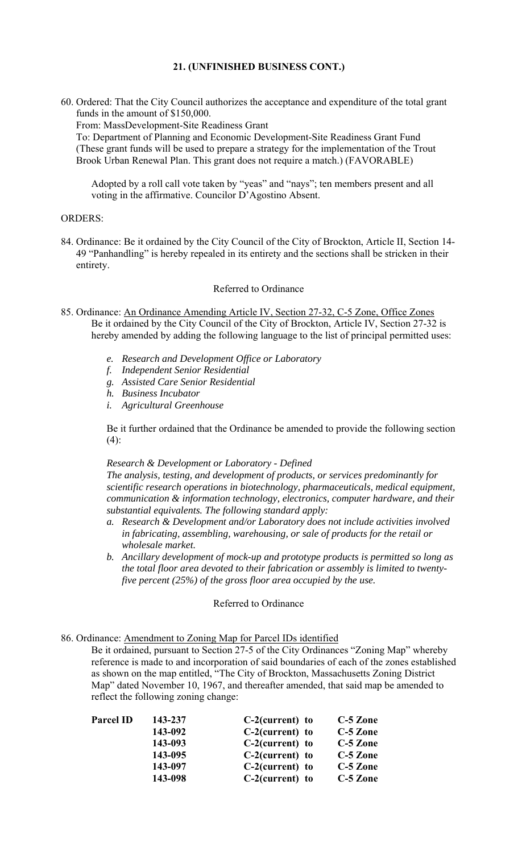## **21. (UNFINISHED BUSINESS CONT.)**

60. Ordered: That the City Council authorizes the acceptance and expenditure of the total grant funds in the amount of \$150,000.

From: MassDevelopment-Site Readiness Grant

To: Department of Planning and Economic Development-Site Readiness Grant Fund (These grant funds will be used to prepare a strategy for the implementation of the Trout Brook Urban Renewal Plan. This grant does not require a match.) (FAVORABLE)

Adopted by a roll call vote taken by "yeas" and "nays"; ten members present and all voting in the affirmative. Councilor D'Agostino Absent.

#### ORDERS:

84. Ordinance: Be it ordained by the City Council of the City of Brockton, Article II, Section 14- 49 "Panhandling" is hereby repealed in its entirety and the sections shall be stricken in their entirety.

#### Referred to Ordinance

- 85. Ordinance: An Ordinance Amending Article IV, Section 27-32, C-5 Zone, Office Zones Be it ordained by the City Council of the City of Brockton, Article IV, Section 27-32 is hereby amended by adding the following language to the list of principal permitted uses:
	- *e. Research and Development Office or Laboratory*
	- *f. Independent Senior Residential*
	- *g. Assisted Care Senior Residential*
	- *h. Business Incubator*
	- *i. Agricultural Greenhouse*

Be it further ordained that the Ordinance be amended to provide the following section (4):

## *Research & Development or Laboratory - Defined*

*The analysis, testing, and development of products, or services predominantly for scientific research operations in biotechnology, pharmaceuticals, medical equipment, communication & information technology, electronics, computer hardware, and their substantial equivalents. The following standard apply:* 

- *a. Research & Development and/or Laboratory does not include activities involved in fabricating, assembling, warehousing, or sale of products for the retail or wholesale market.*
- *b. Ancillary development of mock-up and prototype products is permitted so long as the total floor area devoted to their fabrication or assembly is limited to twentyfive percent (25%) of the gross floor area occupied by the use.*

#### Referred to Ordinance

86. Ordinance: Amendment to Zoning Map for Parcel IDs identified

Be it ordained, pursuant to Section 27-5 of the City Ordinances "Zoning Map" whereby reference is made to and incorporation of said boundaries of each of the zones established as shown on the map entitled, "The City of Brockton, Massachusetts Zoning District Map" dated November 10, 1967, and thereafter amended, that said map be amended to reflect the following zoning change:

| <b>Parcel ID</b> | 143-237 | $C-2$ (current) to | C-5 Zone   |
|------------------|---------|--------------------|------------|
|                  | 143-092 | $C-2$ (current) to | $C-5$ Zone |
|                  | 143-093 | $C-2$ (current) to | C-5 Zone   |
|                  | 143-095 | $C-2$ (current) to | C-5 Zone   |
|                  | 143-097 | $C-2$ (current) to | C-5 Zone   |
|                  | 143-098 | $C-2$ (current) to | C-5 Zone   |
|                  |         |                    |            |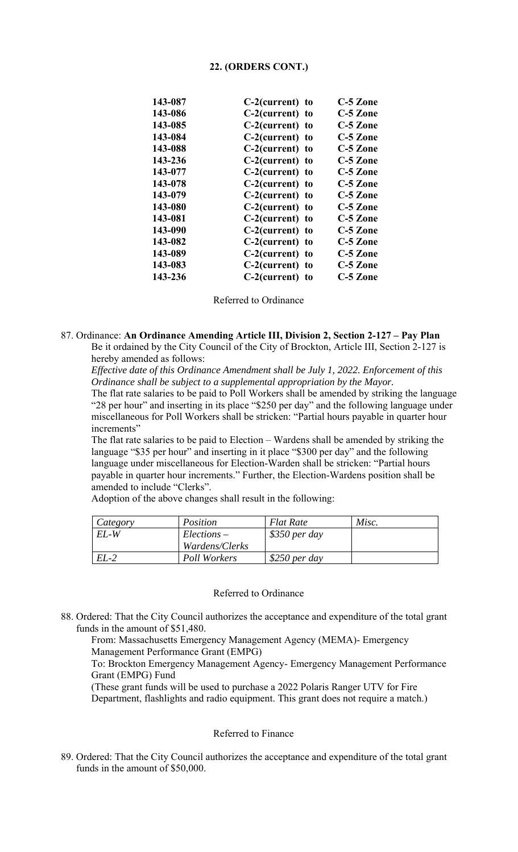### **22. (ORDERS CONT.)**

|  | C-5 Zone                                                                                                                                                                                                                                                                                                                                         |
|--|--------------------------------------------------------------------------------------------------------------------------------------------------------------------------------------------------------------------------------------------------------------------------------------------------------------------------------------------------|
|  | C-5 Zone                                                                                                                                                                                                                                                                                                                                         |
|  | C-5 Zone                                                                                                                                                                                                                                                                                                                                         |
|  | C-5 Zone                                                                                                                                                                                                                                                                                                                                         |
|  | C-5 Zone                                                                                                                                                                                                                                                                                                                                         |
|  | C-5 Zone                                                                                                                                                                                                                                                                                                                                         |
|  | C-5 Zone                                                                                                                                                                                                                                                                                                                                         |
|  | C-5 Zone                                                                                                                                                                                                                                                                                                                                         |
|  | C-5 Zone                                                                                                                                                                                                                                                                                                                                         |
|  | C-5 Zone                                                                                                                                                                                                                                                                                                                                         |
|  | C-5 Zone                                                                                                                                                                                                                                                                                                                                         |
|  | C-5 Zone                                                                                                                                                                                                                                                                                                                                         |
|  | C-5 Zone                                                                                                                                                                                                                                                                                                                                         |
|  | C-5 Zone                                                                                                                                                                                                                                                                                                                                         |
|  | C-5 Zone                                                                                                                                                                                                                                                                                                                                         |
|  | C-5 Zone                                                                                                                                                                                                                                                                                                                                         |
|  | $C-2$ (current) to<br>$C-2$ (current) to<br>$C-2$ (current) to<br>$C-2$ (current) to<br>$C-2$ (current) to<br>$C-2$ (current) to<br>C-2(current) to<br>$C-2$ (current) to<br>$C-2$ (current) to<br>C-2(current) to<br>C-2(current) to<br>$C-2$ (current) to<br>$C-2$ (current) to<br>C-2(current) to<br>$C-2$ (current) to<br>$C-2$ (current) to |

Referred to Ordinance

### 87. Ordinance: **An Ordinance Amending Article III, Division 2, Section 2-127 – Pay Plan** Be it ordained by the City Council of the City of Brockton, Article III, Section 2-127 is hereby amended as follows:

*Effective date of this Ordinance Amendment shall be July 1, 2022. Enforcement of this Ordinance shall be subject to a supplemental appropriation by the Mayor.* 

The flat rate salaries to be paid to Poll Workers shall be amended by striking the language "28 per hour" and inserting in its place "\$250 per day" and the following language under miscellaneous for Poll Workers shall be stricken: "Partial hours payable in quarter hour increments"

The flat rate salaries to be paid to Election – Wardens shall be amended by striking the language "\$35 per hour" and inserting in it place "\$300 per day" and the following language under miscellaneous for Election-Warden shall be stricken: "Partial hours payable in quarter hour increments." Further, the Election-Wardens position shall be amended to include "Clerks".

| Category | Position       | <b>Flat Rate</b> | Misc. |
|----------|----------------|------------------|-------|
| EL-W     | $Elections -$  | $$350$ per day   |       |
|          | Wardens/Clerks |                  |       |
| $EL-2$   | Poll Workers   | \$250 per day    |       |

Adoption of the above changes shall result in the following:

#### Referred to Ordinance

88. Ordered: That the City Council authorizes the acceptance and expenditure of the total grant funds in the amount of \$51,480.

From: Massachusetts Emergency Management Agency (MEMA)- Emergency Management Performance Grant (EMPG)

To: Brockton Emergency Management Agency- Emergency Management Performance Grant (EMPG) Fund

 Department, flashlights and radio equipment. This grant does not require a match.) (These grant funds will be used to purchase a 2022 Polaris Ranger UTV for Fire

### Referred to Finance

89. Ordered: That the City Council authorizes the acceptance and expenditure of the total grant funds in the amount of \$50,000.